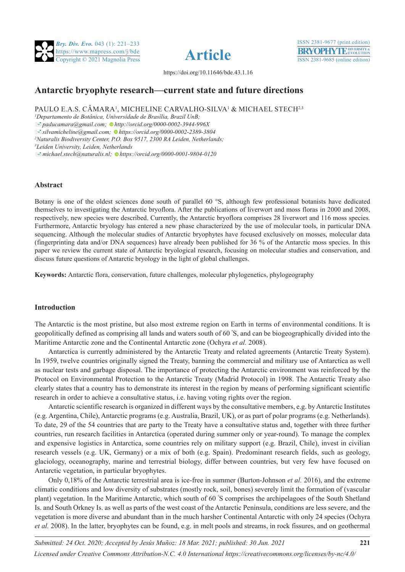





**221**

https://doi.org/10.11646/bde.43.1.16

# **Antarctic bryophyte research—current state and future directions**

PAULO E.A.S. CÂMARA<sup>1</sup>, MICHELINE CARVALHO-SILVA<sup>1</sup> & MICHAEL STECH<sup>2,3</sup>

*1 Departamento de Botânica, Universidade de Brasília, Brazil UnB;* 

[�](mailto:paducamara@gmail.com)*paducamara@gmail.com[; h](http://orcid.org/0000-0002-3944-996X)ttp://orcid.org/0000-0002-3944-996X*

[�](mailto:paducamara@gmail.com)*silvamicheline@gmail.com; [h](https://orcid.org/0000-0002-2389-3804)ttps://orcid.org/0000-0002-2389-3804*

*2 Naturalis Biodiversity Center, P.O. Box 9517, 2300 RA Leiden, Netherlands;* 

*3 Leiden University, Leiden, Netherlands*

[�](mailto:michael.stech@naturalis.nl)*michael.stech@naturalis.nl; [h](https://orcid.org/0000-0001-9804-0120)ttps://orcid.org/0000-0001-9804-0120*

# **Abstract**

Botany is one of the oldest sciences done south of parallel 60 °S, although few professional botanists have dedicated themselves to investigating the Antarctic bryoflora. After the publications of liverwort and moss floras in 2000 and 2008, respectively, new species were described. Currently, the Antarctic bryoflora comprises 28 liverwort and 116 moss species. Furthermore, Antarctic bryology has entered a new phase characterized by the use of molecular tools, in particular DNA sequencing. Although the molecular studies of Antarctic bryophytes have focused exclusively on mosses, molecular data (fingerprinting data and/or DNA sequences) have already been published for 36 % of the Antarctic moss species. In this paper we review the current state of Antarctic bryological research, focusing on molecular studies and conservation, and discuss future questions of Antarctic bryology in the light of global challenges.

**Keywords:** Antarctic flora, conservation, future challenges, molecular phylogenetics, phylogeography

# **Introduction**

The Antarctic is the most pristine, but also most extreme region on Earth in terms of environmental conditions. It is geopolitically defined as comprising all lands and waters south of 60 º S, and can be biogeographically divided into the Maritime Antarctic zone and the Continental Antarctic zone (Ochyra *et al.* 2008).

 Antarctica is currently administered by the Antarctic Treaty and related agreements (Antarctic Treaty System). In 1959, twelve countries originally signed the Treaty, banning the commercial and military use of Antarctica as well as nuclear tests and garbage disposal. The importance of protecting the Antarctic environment was reinforced by the Protocol on Environmental Protection to the Antarctic Treaty (Madrid Protocol) in 1998. The Antarctic Treaty also clearly states that a country has to demonstrate its interest in the region by means of performing significant scientific research in order to achieve a consultative status, i.e. having voting rights over the region.

 Antarctic scientific research is organized in different ways by the consultative members, e.g. by Antarctic Institutes (e.g. Argentina, Chile), Antarctic programs (e.g. Australia, Brazil, UK), or as part of polar programs (e.g. Netherlands). To date, 29 of the 54 countries that are party to the Treaty have a consultative status and, together with three further countries, run research facilities in Antarctica (operated during summer only or year-round). To manage the complex and expensive logistics in Antarctica, some countries rely on military support (e.g. Brazil, Chile), invest in civilian research vessels (e.g. UK, Germany) or a mix of both (e.g. Spain). Predominant research fields, such as geology, glaciology, oceanography, marine and terrestrial biology, differ between countries, but very few have focused on Antarctic vegetation, in particular bryophytes.

 Only 0,18% of the Antarctic terrestrial area is ice-free in summer (Burton-Johnson *et al.* 2016), and the extreme climatic conditions and low diversity of substrates (mostly rock, soil, bones) severely limit the formation of (vascular plant) vegetation. In the Maritime Antarctic, which south of 60 º S comprises the archipelagoes of the South Shetland Is. and South Orkney Is. as well as parts of the west coast of the Antarctic Peninsula, conditions are less severe, and the vegetation is more diverse and abundant than in the much harsher Continental Antarctic with only 24 species (Ochyra *et al.* 2008). In the latter, bryophytes can be found, e.g. in melt pools and streams, in rock fissures, and on geothermal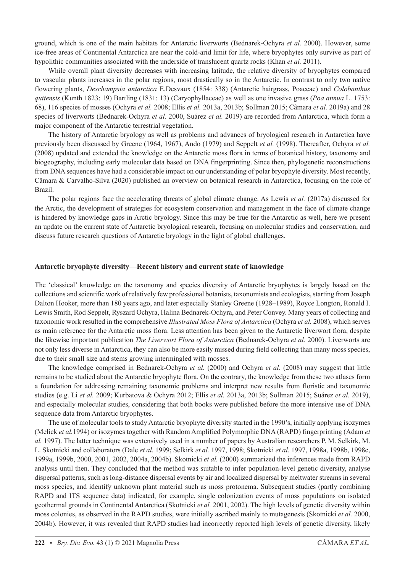ground, which is one of the main habitats for Antarctic liverworts (Bednarek-Ochyra *et al.* 2000). However, some ice-free areas of Continental Antarctica are near the cold-arid limit for life, where bryophytes only survive as part of hypolithic communities associated with the underside of translucent quartz rocks (Khan *et al.* 2011).

While overall plant diversity decreases with increasing latitude, the relative diversity of bryophytes compared to vascular plants increases in the polar regions, most drastically so in the Antarctic. In contrast to only two native flowering plants, *Deschampsia antarctica* E.Desvaux (1854: 338) (Antarctic hairgrass, Poaceae) and *Colobanthus quitensis* (Kunth 1823: 19) Bartling (1831: 13) (Caryophyllaceae) as well as one invasive grass (*Poa annua* L. 1753: 68), 116 species of mosses (Ochyra *et al.* 2008; Ellis *et al.* 2013a, 2013b; Sollman 2015; Câmara *et al.* 2019a) and 28 species of liverworts (Bednarek-Ochyra *et al.* 2000, Suárez *et al.* 2019) are recorded from Antarctica, which form a major component of the Antarctic terrestrial vegetation.

 The history of Antarctic bryology as well as problems and advances of bryological research in Antarctica have previously been discussed by Greene (1964, 1967), Ando (1979) and Seppelt *et al.* (1998). Thereafter, Ochyra *et al.* (2008) updated and extended the knowledge on the Antarctic moss flora in terms of botanical history, taxonomy and biogeography, including early molecular data based on DNA fingerprinting. Since then, phylogenetic reconstructions from DNA sequences have had a considerable impact on our understanding of polar bryophyte diversity. Most recently, Câmara & Carvalho-Silva (2020) published an overview on botanical research in Antarctica, focusing on the role of Brazil.

 The polar regions face the accelerating threats of global climate change. As Lewis *et al.* (2017a) discussed for the Arctic, the development of strategies for ecosystem conservation and management in the face of climate change is hindered by knowledge gaps in Arctic bryology. Since this may be true for the Antarctic as well, here we present an update on the current state of Antarctic bryological research, focusing on molecular studies and conservation, and discuss future research questions of Antarctic bryology in the light of global challenges.

## **Antarctic bryophyte diversity—Recent history and current state of knowledge**

The 'classical' knowledge on the taxonomy and species diversity of Antarctic bryophytes is largely based on the collections and scientific work of relatively few professional botanists, taxonomists and ecologists, starting from Joseph Dalton Hooker, more than 180 years ago, and later especially Stanley Greene (1928–1989), Royce Longton, Ronald I. Lewis Smith, Rod Seppelt, Ryszard Ochyra, Halina Bednarek-Ochyra, and Peter Convey. Many years of collecting and taxonomic work resulted in the comprehensive *Illustrated Moss Flora of Antarctica* (Ochyra *et al.* 2008), which serves as main reference for the Antarctic moss flora. Less attention has been given to the Antarctic liverwort flora, despite the likewise important publication *The Liverwort Flora of Antarctica* (Bednarek-Ochyra *et al.* 2000). Liverworts are not only less diverse in Antarctica, they can also be more easily missed during field collecting than many moss species, due to their small size and stems growing intermingled with mosses.

 The knowledge comprised in Bednarek-Ochyra *et al.* (2000) and Ochyra *et al.* (2008) may suggest that little remains to be studied about the Antarctic bryophyte flora. On the contrary, the knowledge from these two atlases form a foundation for addressing remaining taxonomic problems and interpret new results from floristic and taxonomic studies (e.g. Li *et al.* 2009; Kurbatova & Ochyra 2012; Ellis *et al.* 2013a, 2013b; Sollman 2015; Suárez *et al.* 2019), and especially molecular studies, considering that both books were published before the more intensive use of DNA sequence data from Antarctic bryophytes.

 The use of molecular tools to study Antarctic bryophyte diversity started in the 1990's, initially applying isozymes (Melick *et al.*1994) or isozymes together with Random Amplified Polymorphic DNA (RAPD) fingerprinting (Adam *et al.* 1997). The latter technique was extensively used in a number of papers by Australian researchers P. M. Selkirk, M. L. Skotnicki and collaborators (Dale *et al.* 1999; Selkirk *et al.* 1997, 1998; Skotnicki *et al.* 1997, 1998a, 1998b, 1998c, 1999a, 1999b, 2000, 2001, 2002, 2004a, 2004b). Skotnicki *et al.* (2000) summarized the inferences made from RAPD analysis until then. They concluded that the method was suitable to infer population-level genetic diversity, analyse dispersal patterns, such as long-distance dispersal events by air and localized dispersal by meltwater streams in several moss species, and identify unknown plant material such as moss protonema. Subsequent studies (partly combining RAPD and ITS sequence data) indicated, for example, single colonization events of moss populations on isolated geothermal grounds in Continental Antarctica (Skotnicki *et al.* 2001, 2002). The high levels of genetic diversity within moss colonies, as observed in the RAPD studies, were initially ascribed mainly to mutagenesis (Skotnicki *et al.* 2000, 2004b). However, it was revealed that RAPD studies had incorrectly reported high levels of genetic diversity, likely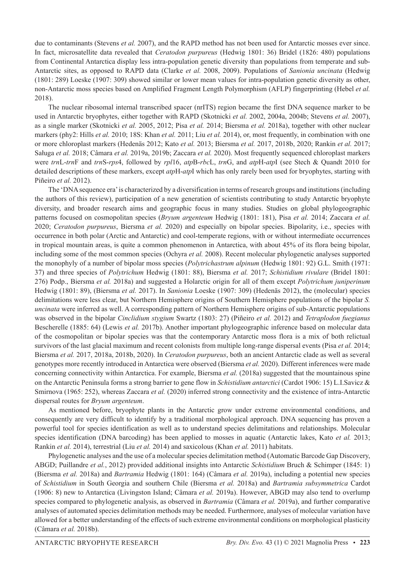due to contaminants (Stevens *et al.* 2007), and the RAPD method has not been used for Antarctic mosses ever since. In fact, microsatellite data revealed that *Ceratodon purpureus* (Hedwig 1801: 36) Bridel (1826: 480) populations from Continental Antarctica display less intra-population genetic diversity than populations from temperate and sub-Antarctic sites, as opposed to RAPD data (Clarke *et al.* 2008, 2009). Populations of *Sanionia uncinata* (Hedwig (1801: 289) Loeske (1907: 309) showed similar or lower mean values for intra-population genetic diversity as other, non-Antarctic moss species based on Amplified Fragment Length Polymorphism (AFLP) fingerprinting (Hebel *et al.* 2018).

 The nuclear ribosomal internal transcribed spacer (nrITS) region became the first DNA sequence marker to be used in Antarctic bryophytes, either together with RAPD (Skotnicki *et al.* 2002, 2004a, 2004b; Stevens *et al.* 2007), as a single marker (Skotnicki *et al.* 2005, 2012; Pisa *et al.* 2014; Biersma *et al.* 2018a), together with other nuclear markers (phy2: Hills *et al.* 2010; 18S: Khan *et al.* 2011; Liu *et al.* 2014), or, most frequently, in combination with one or more chloroplast markers (Hedenäs 2012; Kato *et al.* 2013; Biersma *et al.* 2017, 2018b, 2020; Rankin *et al.* 2017; Saługa *et al.* 2018; Câmara *et al.* 2019a, 2019b; Zaccara *et al.* 2020). Most frequently sequenced chloroplast markers were *trn*L-*trn*F and *trn*S-*rps*4, followed by *rpl*16, *atp*B-*rbc*L, *trn*G, and *atp*H-*atp*I (see Stech & Quandt 2010 for detailed descriptions of these markers, except *atp*H-*atp*I which has only rarely been used for bryophytes, starting with Piñeiro *et al.* 2012).

 The 'DNA sequence era' is characterized by a diversification in terms of research groups and institutions (including the authors of this review), participation of a new generation of scientists contributing to study Antarctic bryophyte diversity, and broader research aims and geographic focus in many studies. Studies on global phylogeographic patterns focused on cosmopolitan species (*Bryum argenteum* Hedwig (1801: 181), Pisa *et al.* 2014; Zaccara *et al.* 2020; *Ceratodon purpureus*, Biersma *et al.* 2020) and especially on bipolar species. Bipolarity, i.e., species with occurrence in both polar (Arctic and Antarctic) and cool-temperate regions, with or without intermediate occurrences in tropical mountain areas, is quite a common phenomenon in Antarctica, with about 45% of its flora being bipolar, including some of the most common species (Ochyra *et al.* 2008). Recent molecular phylogenetic analyses supported the monophyly of a number of bipolar moss species (*Polytrichastrum alpinum* (Hedwig 1801: 92) G.L. Smith (1971: 37) and three species of *Polytrichum* Hedwig (1801: 88), Biersma *et al.* 2017; *Schistidium rivulare* (Bridel 1801: 276) Podp., Biersma *et al.* 2018a) and suggested a Holarctic origin for all of them except *Polytrichum juniperinum* Hedwig (1801: 89), (Biersma *et al.* 2017). In *Sanionia* Loeske (1907: 309) (Hedenäs 2012), the (molecular) species delimitations were less clear, but Northern Hemisphere origins of Southern Hemisphere populations of the bipolar *S. uncinata* were inferred as well. A corresponding pattern of Northern Hemisphere origins of sub-Antarctic populations was observed in the bipolar *Cinclidium stygium* Swartz (1803: 27) (Piñeiro *et al.* 2012) and *Tetraplodon fuegianus* Bescherelle (1885: 64) (Lewis *et al.* 2017b). Another important phylogeographic inference based on molecular data of the cosmopolitan or bipolar species was that the contemporary Antarctic moss flora is a mix of both relictual survivors of the last glacial maximum and recent colonists from multiple long-range dispersal events (Pisa *et al.* 2014; Biersma *et al.* 2017, 2018a, 2018b, 2020). In *Ceratodon purpureus*, both an ancient Antarctic clade as well as several genotypes more recently introduced in Antarctica were observed (Biersma *et al.* 2020). Different inferences were made concerning connectivity within Antarctica. For example, Biersma *et al.* (2018a) suggested that the mountainous spine on the Antarctic Peninsula forms a strong barrier to gene flow in *Schistidium antarctici* (Cardot 1906: 15) L.I.Savicz & Smirnova (1965: 252), whereas Zaccara *et al.* (2020) inferred strong connectivity and the existence of intra-Antarctic dispersal routes for *Bryum argenteum*.

 As mentioned before, bryophyte plants in the Antarctic grow under extreme environmental conditions, and consequently are very difficult to identify by a traditional morphological approach. DNA sequencing has proven a powerful tool for species identification as well as to understand species delimitations and relationships. Molecular species identification (DNA barcoding) has been applied to mosses in aquatic (Antarctic lakes, Kato *et al.* 2013; Rankin *et al.* 2014), terrestrial (Liu *et al.* 2014) and saxicolous (Khan *et al.* 2011) habitats.

Phylogenetic analyses and the use of a molecular species delimitation method (Automatic Barcode Gap Discovery, ABGD; Puillandre *et al.*, 2012) provided additional insights into Antarctic *Schistidium* Bruch & Schimper (1845: 1) (Biersma *et al.* 2018a) and *Bartramia* Hedwig (1801: 164) (Câmara *et al.* 2019a), including a potential new species of *Schistidium* in South Georgia and southern Chile (Biersma *et al.* 2018a) and *Bartramia subsymmetrica* Cardot (1906: 8) new to Antarctica (Livingston Island; Câmara *et al.* 2019a). However, ABGD may also tend to overlump species compared to phylogenetic analysis, as observed in *Bartramia* (Câmara *et al.* 2019a), and further comparative analyses of automated species delimitation methods may be needed. Furthermore, analyses of molecular variation have allowed for a better understanding of the effects of such extreme environmental conditions on morphological plasticity (Câmara *et al.* 2018b).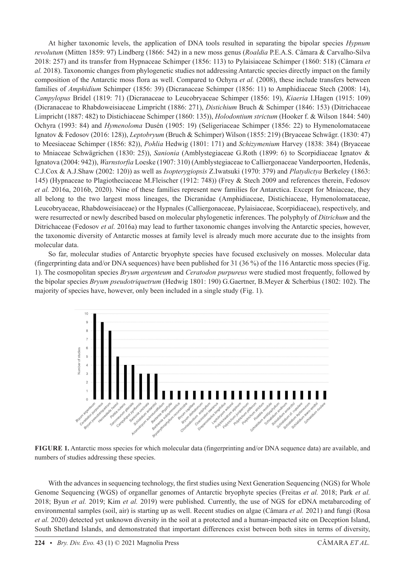At higher taxonomic levels, the application of DNA tools resulted in separating the bipolar species *Hypnum revolutum* (Mitten 1859: 97) Lindberg (1866: 542) in a new moss genus (*Roaldia* P.E.A.S. Câmara & Carvalho-Silva 2018: 257) and its transfer from Hypnaceae Schimper (1856: 113) to Pylaisiaceae Schimper (1860: 518) (Câmara *et al.* 2018). Taxonomic changes from phylogenetic studies not addressing Antarctic species directly impact on the family composition of the Antarctic moss flora as well. Compared to Ochyra *et al.* (2008), these include transfers between families of *Amphidium* Schimper (1856: 39) (Dicranaceae Schimper (1856: 11) to Amphidiaceae Stech (2008: 14), *Campylopus* Bridel (1819: 71) (Dicranaceae to Leucobryaceae Schimper (1856: 19), *Kiaeria* I.Hagen (1915: 109) (Dicranaceae to Rhabdoweisiaceae Limpricht (1886: 271), *Distichium* Bruch & Schimper (1846: 153) (Ditrichaceae Limpricht (1887: 482) to Distichiaceae Schimper (1860: 135)), *Holodontium strictum* (Hooker f. & Wilson 1844: 540) Ochyra (1993: 84) and *Hymenoloma* Dusén (1905: 19) (Seligeriaceae Schimper (1856: 22) to Hymenolomataceae Ignatov & Fedosov (2016: 128)), *Leptobryum* (Bruch & Schimper) Wilson (1855: 219) (Bryaceae Schwägr. (1830: 47) to Meesiaceae Schimper (1856: 82)), *Pohlia* Hedwig (1801: 171) and *Schizymenium* Harvey (1838: 384) (Bryaceae to Mniaceae Schwägrichen (1830: 25)), *Sanionia* (Amblystegiaceae G.Roth (1899: 6) to Scorpidiaceae Ignatov & Ignatova (2004: 942)), *Warnstorfia* Loeske (1907: 310) (Amblystegiaceae to Calliergonaceae Vanderpoorten, Hedenäs, C.J.Cox & A.J.Shaw (2002: 120)) as well as *Isopterygiopsis* Z.Iwatsuki (1970: 379) and *Platydictya* Berkeley (1863: 145) (Hypnaceae to Plagiotheciaceae M.Fleischer (1912: 748)) (Frey & Stech 2009 and references therein, Fedosov *et al.* 2016a, 2016b, 2020). Nine of these families represent new families for Antarctica. Except for Mniaceae, they all belong to the two largest moss lineages, the Dicranidae (Amphidiaceae, Distichiaceae, Hymenolomataceae, Leucobryaceae, Rhabdoweisiaceae) or the Hypnales (Calliergonaceae, Pylaisiaceae, Scorpidiaceae), respectively, and were resurrected or newly described based on molecular phylogenetic inferences. The polyphyly of *Ditrichum* and the Ditrichaceae (Fedosov *et al.* 2016a) may lead to further taxonomic changes involving the Antarctic species, however, the taxonomic diversity of Antarctic mosses at family level is already much more accurate due to the insights from molecular data.

So far, molecular studies of Antarctic bryophyte species have focused exclusively on mosses. Molecular data (fingerprinting data and/or DNA sequences) have been published for 31 (36 %) of the 116 Antarctic moss species (Fig. 1). The cosmopolitan species *Bryum argenteum* and *Ceratodon purpureus* were studied most frequently, followed by the bipolar species *Bryum pseudotriquetrum* (Hedwig 1801: 190) G.Gaertner, B.Meyer & Scherbius (1802: 102). The majority of species have, however, only been included in a single study (Fig. 1).



**Figure 1.** Antarctic moss species for which molecular data (fingerprinting and/or DNA sequence data) are available, and numbers of studies addressing these species.

With the advances in sequencing technology, the first studies using Next Generation Sequencing (NGS) for Whole Genome Sequencing (WGS) of organellar genomes of Antarctic bryophyte species (Freitas *et al.* 2018; Park *et al.* 2018; Byun *et al.* 2019; Kim *et al.* 2019) were published. Currently, the use of NGS for eDNA metabarcoding of environmental samples (soil, air) is starting up as well. Recent studies on algae (Câmara *et al.* 2021) and fungi (Rosa *et al.* 2020) detected yet unknown diversity in the soil at a protected and a human-impacted site on Deception Island, South Shetland Islands, and demonstrated that important differences exist between both sites in terms of diversity,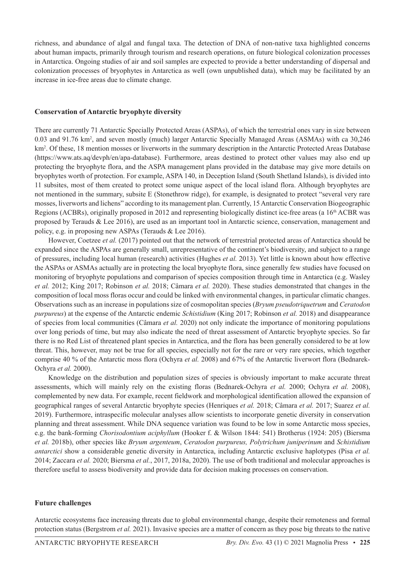richness, and abundance of algal and fungal taxa. The detection of DNA of non-native taxa highlighted concerns about human impacts, primarily through tourism and research operations, on future biological colonization processes in Antarctica. Ongoing studies of air and soil samples are expected to provide a better understanding of dispersal and colonization processes of bryophytes in Antarctica as well (own unpublished data), which may be facilitated by an increase in ice-free areas due to climate change.

#### **Conservation of Antarctic bryophyte diversity**

There are currently 71 Antarctic Specially Protected Areas (ASPAs), of which the terrestrial ones vary in size between 0.03 and 91.76 km2 , and seven mostly (much) larger Antarctic Specially Managed Areas (ASMAs) with ca 30,246 km<sup>2</sup>. Of these, 18 mention mosses or liverworts in the summary description in the Antarctic Protected Areas Database (https://www.ats.aq/devph/en/apa-database). Furthermore, areas destined to protect other values may also end up protecting the bryophyte flora, and the ASPA management plans provided in the database may give more details on bryophytes worth of protection. For example, ASPA 140, in Deception Island (South Shetland Islands), is divided into 11 subsites, most of them created to protect some unique aspect of the local island flora. Although bryophytes are not mentioned in the summary, subsite E (Stonethrow ridge), for example, is designated to protect "several very rare mosses, liverworts and lichens" according to its management plan. Currently, 15 Antarctic Conservation Biogeographic Regions (ACBRs), originally proposed in 2012 and representing biologically distinct ice-free areas (a 16<sup>th</sup> ACBR was proposed by Terauds & Lee 2016), are used as an important tool in Antarctic science, conservation, management and policy, e.g. in proposing new ASPAs (Terauds & Lee 2016).

 However, Coetzee *et al.* (2017) pointed out that the network of terrestrial protected areas of Antarctica should be expanded since the ASPAs are generally small, unrepresentative of the continent's biodiversity, and subject to a range of pressures, including local human (research) activities (Hughes *et al.* 2013). Yet little is known about how effective the ASPAs or ASMAs actually are in protecting the local bryophyte flora, since generally few studies have focused on monitoring of bryophyte populations and comparison of species composition through time in Antarctica (e.g. Wasley *et al.* 2012; King 2017; Robinson *et al.* 2018; Câmara *et al.* 2020). These studies demonstrated that changes in the composition of local moss floras occur and could be linked with environmental changes, in particular climatic changes. Observations such as an increase in populations size of cosmopolitan species (*Bryum pseudotriquetrum* and *Ceratodon purpureus*) at the expense of the Antarctic endemic *Schistidium* (King 2017; Robinson *et al.* 2018) and disappearance of species from local communities (Câmara *et al.* 2020) not only indicate the importance of monitoring populations over long periods of time, but may also indicate the need of threat assessment of Antarctic bryophyte species. So far there is no Red List of threatened plant species in Antarctica, and the flora has been generally considered to be at low threat. This, however, may not be true for all species, especially not for the rare or very rare species, which together comprise 40 % of the Antarctic moss flora (Ochyra *et al.* 2008) and 67% of the Antarctic liverwort flora (Bednarek-Ochyra *et al.* 2000).

Knowledge on the distribution and population sizes of species is obviously important to make accurate threat assessments, which will mainly rely on the existing floras (Bednarek-Ochyra *et al.* 2000; Ochyra *et al.* 2008), complemented by new data. For example, recent fieldwork and morphological identification allowed the expansion of geographical ranges of several Antarctic bryophyte species (Henriques *et al.* 2018; Câmara *et al.* 2017; Suarez *et al.* 2019). Furthermore, intraspecific molecular analyses allow scientists to incorporate genetic diversity in conservation planning and threat assessment. While DNA sequence variation was found to be low in some Antarctic moss species, e.g. the bank-forming *Chorisodontium aciphyllum* (Hooker f. & Wilson 1844: 541) Brotherus (1924: 205) (Biersma *et al.* 2018b), other species like *Bryum argenteum*, *Ceratodon purpureus, Polytrichum juniperinum* and *Schistidium antarctici* show a considerable genetic diversity in Antarctica, including Antarctic exclusive haplotypes (Pisa *et al.* 2014; Zaccara *et al.* 2020; Biersma *et al.*, 2017, 2018a, 2020). The use of both traditional and molecular approaches is therefore useful to assess biodiversity and provide data for decision making processes on conservation.

# **Future challenges**

Antarctic ecosystems face increasing threats due to global environmental change, despite their remoteness and formal protection status (Bergstrom *et al.* 2021). Invasive species are a matter of concern as they pose big threats to the native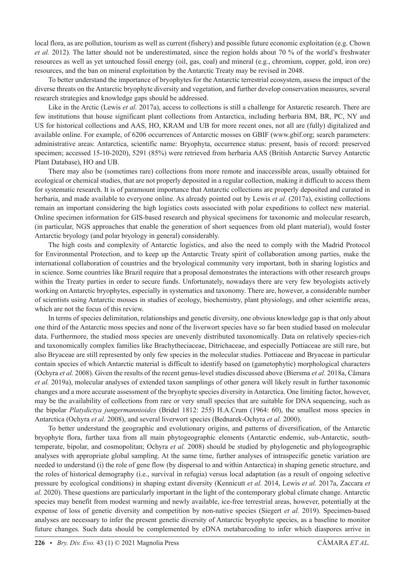local flora, as are pollution, tourism as well as current (fishery) and possible future economic exploitation (e.g. Chown *et al.* 2012). The latter should not be underestimated, since the region holds about 70 % of the world's freshwater resources as well as yet untouched fossil energy (oil, gas, coal) and mineral (e.g., chromium, copper, gold, iron ore) resources, and the ban on mineral exploitation by the Antarctic Treaty may be revised in 2048.

 To better understand the importance of bryophytes for the Antarctic terrestrial ecosystem, assess the impact of the diverse threats on the Antarctic bryophyte diversity and vegetation, and further develop conservation measures, several research strategies and knowledge gaps should be addressed.

Like in the Arctic (Lewis *et al.* 2017a), access to collections is still a challenge for Antarctic research. There are few institutions that house significant plant collections from Antarctica, including herbaria BM, BR, PC, NY and US for historical collections and AAS, HO, KRAM and UB for more recent ones, not all are (fully) digitalized and available online. For example, of 6206 occurrences of Antarctic mosses on GBIF (www.gbif.org; search parameters: administrative areas: Antarctica, scientific name: Bryophyta, occurrence status: present, basis of record: preserved specimen; accessed 15-10-2020), 5291 (85%) were retrieved from herbaria AAS (British Antarctic Survey Antarctic Plant Database), HO and UB.

 There may also be (sometimes rare) collections from more remote and inaccessible areas, usually obtained for ecological or chemical studies, that are not properly deposited in a regular collection, making it difficult to access them for systematic research. It is of paramount importance that Antarctic collections are properly deposited and curated in herbaria, and made available to everyone online. As already pointed out by Lewis *et al.* (2017a), existing collections remain an important considering the high logistics costs associated with polar expeditions to collect new material. Online specimen information for GIS-based research and physical specimens for taxonomic and molecular research, (in particular, NGS approaches that enable the generation of short sequences from old plant material), would foster Antarctic bryology (and polar bryology in general) considerably.

 The high costs and complexity of Antarctic logistics, and also the need to comply with the Madrid Protocol for Environmental Protection, and to keep up the Antarctic Treaty spirit of collaboration among parties, make the international collaboration of countries and the bryological community very important, both in sharing logistics and in science. Some countries like Brazil require that a proposal demonstrates the interactions with other research groups within the Treaty parties in order to secure funds. Unfortunately, nowadays there are very few bryologists actively working on Antarctic bryophytes, especially in systematics and taxonomy. There are, however, a considerable number of scientists using Antarctic mosses in studies of ecology, biochemistry, plant physiology, and other scientific areas, which are not the focus of this review.

In terms of species delimitation, relationships and genetic diversity, one obvious knowledge gap is that only about one third of the Antarctic moss species and none of the liverwort species have so far been studied based on molecular data. Furthermore, the studied moss species are unevenly distributed taxonomically. Data on relatively species-rich and taxonomically complex families like Brachytheciaceae, Ditrichaceae, and especially Pottiaceae are still rare, but also Bryaceae are still represented by only few species in the molecular studies. Pottiaceae and Bryaceae in particular contain species of which Antarctic material is difficult to identify based on (gametophytic) morphological characters (Ochyra *et al.* 2008). Given the results of the recent genus-level studies discussed above (Biersma *et al.* 2018a, Câmara *et al.* 2019a), molecular analyses of extended taxon samplings of other genera will likely result in further taxonomic changes and a more accurate assessment of the bryophyte species diversity in Antarctica. One limiting factor, however, may be the availability of collections from rare or very small species that are suitable for DNA sequencing, such as the bipolar *Platydictya jungermannioides* (Bridel 1812: 255) H.A.Crum (1964: 60), the smallest moss species in Antarctica (Ochyra *et al.* 2008), and several liverwort species (Bednarek-Ochyra *et al.* 2000).

 To better understand the geographic and evolutionary origins, and patterns of diversification, of the Antarctic bryophyte flora, further taxa from all main phytogeographic elements (Antarctic endemic, sub-Antarctic, southtemperate, bipolar, and cosmopolitan; Ochyra *et al.* 2008) should be studied by phylogenetic and phylogeographic analyses with appropriate global sampling. At the same time, further analyses of intraspecific genetic variation are needed to understand (i) the role of gene flow (by dispersal to and within Antarctica) in shaping genetic structure, and the roles of historical demography (i.e., survival in refugia) versus local adaptation (as a result of ongoing selective pressure by ecological conditions) in shaping extant diversity (Kennicutt *et al.* 2014, Lewis *et al.* 2017a, Zaccara *et al.* 2020). These questions are particularly important in the light of the contemporary global climate change. Antarctic species may benefit from modest warming and newly available, ice-free terrestrial areas, however, potentially at the expense of loss of genetic diversity and competition by non-native species (Siegert *et al.* 2019). Specimen-based analyses are necessary to infer the present genetic diversity of Antarctic bryophyte species, as a baseline to monitor future changes. Such data should be complemented by eDNA metabarcoding to infer which diaspores arrive in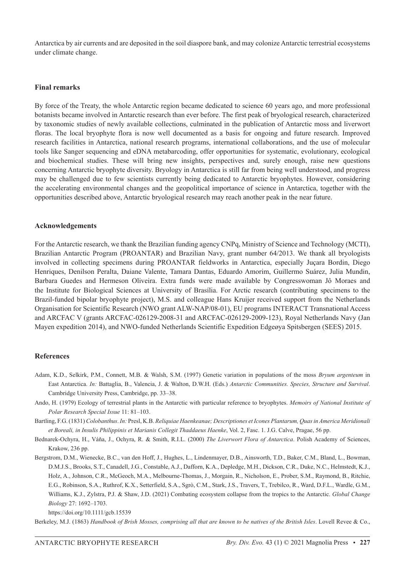Antarctica by air currents and are deposited in the soil diaspore bank, and may colonize Antarctic terrestrial ecosystems under climate change.

#### **Final remarks**

By force of the Treaty, the whole Antarctic region became dedicated to science 60 years ago, and more professional botanists became involved in Antarctic research than ever before. The first peak of bryological research, characterized by taxonomic studies of newly available collections, culminated in the publication of Antarctic moss and liverwort floras. The local bryophyte flora is now well documented as a basis for ongoing and future research. Improved research facilities in Antarctica, national research programs, international collaborations, and the use of molecular tools like Sanger sequencing and eDNA metabarcoding, offer opportunities for systematic, evolutionary, ecological and biochemical studies. These will bring new insights, perspectives and, surely enough, raise new questions concerning Antarctic bryophyte diversity. Bryology in Antarctica is still far from being well understood, and progress may be challenged due to few scientists currently being dedicated to Antarctic bryophytes. However, considering the accelerating environmental changes and the geopolitical importance of science in Antarctica, together with the opportunities described above, Antarctic bryological research may reach another peak in the near future.

## **Acknowledgements**

For the Antarctic research, we thank the Brazilian funding agency CNPq, Ministry of Science and Technology (MCTI), Brazilian Antarctic Program (PROANTAR) and Brazilian Navy, grant number 64/2013. We thank all bryologists involved in collecting specimens during PROANTAR fieldworks in Antarctica, especially Juçara Bordin, Diego Henriques, Denilson Peralta, Daiane Valente, Tamara Dantas, Eduardo Amorim, Guillermo Suárez, Julia Mundin, Barbara Guedes and Hermeson Oliveira. Extra funds were made available by Congresswoman Jô Moraes and the Institute for Biological Sciences at University of Brasília. For Arctic research (contributing specimens to the Brazil-funded bipolar bryophyte project), M.S. and colleague Hans Kruijer received support from the Netherlands Organisation for Scientific Research (NWO grant ALW-NAP/08-01), EU programs INTERACT Transnational Access and ARCFAC V (grants ARCFAC-026129-2008-31 and ARCFAC-026129-2009-123), Royal Netherlands Navy (Jan Mayen expedition 2014), and NWO-funded Netherlands Scientific Expedition Edgeøya Spitsbergen (SEES) 2015.

#### **References**

- Adam, K.D., Selkirk, P.M., Connett, M.B. & Walsh, S.M. (1997) Genetic variation in populations of the moss *Bryum argenteum* in East Antarctica. *In:* Battaglia, B., Valencia, J. & Walton, D.W.H. (Eds.) *Antarctic Communities. Species, Structure and Survival*. Cambridge University Press, Cambridge, pp. 33–38.
- Ando, H. (1979) Ecology of terrestrial plants in the Antarctic with particular reference to bryophytes. *Memoirs of National Institute of Polar Research Special Issue* 11: 81–103.
- Bartling, F.G. (1831) *Colobanthus*. *In:* Presl, K.B. *Reliquiae Haenkeanae; Descriptiones et Icones Plantarum, Quas in America Meridionali et Boreali, in Insulis Philippinis et Marianis Collegit Thaddaeus Haenke*, Vol. 2, Fasc. 1. J.G. Calve, Pragae, 56 pp.
- Bednarek-Ochyra, H., Váňa, J., Ochyra, R. & Smith, R.I.L. (2000) *The Liverwort Flora of Antarctica*. Polish Academy of Sciences, Krakow, 236 pp.
- Bergstrom, D.M., Wienecke, B.C., van den Hoff, J., Hughes, L., Lindenmayer, D.B., Ainsworth, T.D., Baker, C.M., Bland, L., Bowman, D.M.J.S., Brooks, S.T., Canadell, J.G., Constable, A.J., Dafforn, K.A., Depledge, M.H., Dickson, C.R., Duke, N.C., Helmstedt, K.J., Holz, A., Johnson, C.R., McGeoch, M.A., Melbourne-Thomas, J., Morgain, R., Nicholson, E., Prober, S.M., Raymond, B., Ritchie, E.G., Robinson, S.A., Ruthrof, K.X., Setterfield, S.A., Sgrò, C.M., Stark, J.S., Travers, T., Trebilco, R., Ward, D.F.L., Wardle, G.M., Williams, K.J., Zylstra, P.J. & Shaw, J.D. (2021) Combating ecosystem collapse from the tropics to the Antarctic. *Global Change Biology* 27: 1692–1703.

```
https://doi.org/10.1111/gcb.15539
```
Berkeley, M.J. (1863) *Handbook of Brish Mosses, comprising all that are known to be natives of the British Isles*. Lovell Revee & Co.,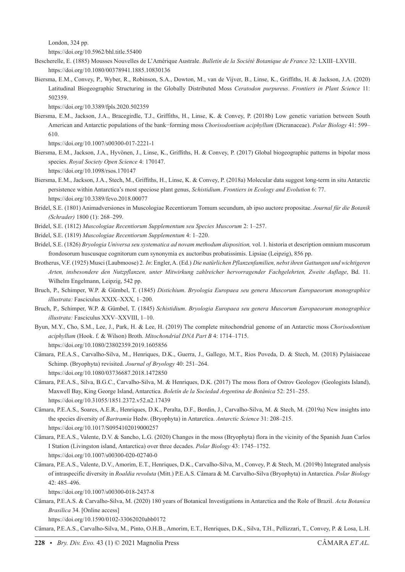London, 324 pp.

https://doi.org/10.5962/bhl.title.55400

- Bescherelle, E. (1885) Mousses Nouvelles de L'Amérique Australe. *Bulletin de la Société Botanique de France* 32: LXIII–LXVIII. https://doi.org/10.1080/00378941.1885.10830136
- Biersma, E.M., Convey, P., Wyber, R., Robinson, S.A., Dowton, M., van de Vijver, B., Linse, K., Griffiths, H. & Jackson, J.A. (2020) Latitudinal Biogeographic Structuring in the Globally Distributed Moss *Ceratodon purpureus*. *Frontiers in Plant Science* 11: 502359.

https://doi.org/10.3389/fpls.2020.502359

Biersma, E.M., Jackson, J.A., Bracegirdle, T.J., Griffiths, H., Linse, K. & Convey, P. (2018b) Low genetic variation between South American and Antarctic populations of the bank−forming moss *Chorisodontium aciphyllum* (Dicranaceae). *Polar Biology* 41: 599– 610.

https://doi.org/10.1007/s00300-017-2221-1

Biersma, E.M., Jackson, J.A., Hyvönen, J., Linse, K., Griffiths, H. & Convey, P. (2017) Global biogeographic patterns in bipolar moss species. *Royal Society Open Science* 4: 170147.

https://doi.org/10.1098/rsos.170147

Biersma, E.M., Jackson, J.A., Stech, M., Griffiths, H., Linse, K. & Convey, P. (2018a) Molecular data suggest long-term in situ Antarctic persistence within Antarctica's most speciose plant genus, *Schistidium*. *Frontiers in Ecology and Evolution* 6: 77. https://doi.org/10.3389/fevo.2018.00077

- Bridel, S.E. (1801) Animadversiones in Muscologiae Recentiorum Tomum secundum, ab ipso auctore propositae. *Journal für die Botanik (Schrader)* 1800 (1): 268–299.
- Bridel, S.E. (1812) *Muscologiae Recentiorum Supplementum seu Species Muscorum* 2: 1–257.

Bridel, S.E. (1819) *Muscologiae Recentiorum Supplementum* 4: 1–220.

- Bridel, S.E. (1826) *Bryologia Universa seu systematica ad novam methodum disposition,* vol. 1. historia et description omnium muscorum frondosorum huscusque cognitorum cum synonymia ex auctoribus probatissimis. Lipsiae (Leipzig), 856 pp.
- Brotherus, V.F. (1925) Musci (Laubmoose) 2. *In*: Engler, A. (Ed.) *Die natürlichen Pflanzenfamilien, nebst ihren Gattungen und wichtigeren Arten, insbesondere den Nutzpflanzen, unter Mitwirkung zahlreicher hervorragender Fachgelehrten, Zweite Auflage*, Bd. 11. Wilhelm Engelmann, Leipzig, 542 pp.
- Bruch, P., Schimper, W.P. & Gümbel, T. (1845) *Distichium*. *Bryologia Europaea seu genera Muscorum Europaeorum monographice illustrata:* Fasciculus XXIX–XXX, 1–200.
- Bruch, P., Schimper, W.P. & Gümbel, T. (1845) *Schistidium*. *Bryologia Europaea seu genera Muscorum Europaeorum monographice illustrata:* Fasciculus XXV–XXVIII, 1–10.
- Byun, M.Y., Cho, S.M., Lee, J., Park, H. & Lee, H. (2019) The complete mitochondrial genome of an Antarctic moss *Chorisodontium aciphyllum* (Hook. f. & Wilson) Broth. *Mitochondrial DNA Part B* 4: 1714–1715. https://doi.org/10.1080/23802359.2019.1605856
- Câmara, P.E.A.S., Carvalho-Silva, M., Henriques, D.K., Guerra, J., Gallego, M.T., Rios Poveda, D. & Stech, M. (2018) Pylaisiaceae Schimp. (Bryophyta) revisited. *Journal of Bryology* 40: 251–264. https://doi.org/10.1080/03736687.2018.1472850
- Câmara, P.E.A.S., Silva, B.G.C., Carvalho-Silva, M. & Henriques, D.K. (2017) The moss flora of Ostrov Geologov (Geologists Island), Maxwell Bay, King George Island, Antarctica. *Boletín de la Sociedad Argentina de Botánica* 52: 251–255. https://doi.org/10.31055/1851.2372.v52.n2.17439
- Câmara, P.E.A.S., Soares, A.E.R., Henriques, D.K., Peralta, D.F., Bordin, J., Carvalho-Silva, M. & Stech, M. (2019a) New insights into the species diversity of *Bartramia* Hedw. (Bryophyta) in Antarctica. *Antarctic Science* 31: 208–215. https://doi.org/10.1017/S0954102019000257
- Câmara, P.E.A.S., Valente, D.V. & Sancho, L.G. (2020) Changes in the moss (Bryophyta) flora in the vicinity of the Spanish Juan Carlos I Station (Livingston island, Antarctica) over three decades. *Polar Biology* 43: 1745–1752. https://doi.org/10.1007/s00300-020-02740-0
- Câmara, P.E.A.S., Valente, D.V., Amorim, E.T., Henriques, D.K., Carvalho-Silva, M., Convey, P. & Stech, M. (2019b) Integrated analysis of intraspecific diversity in *Roaldia revoluta* (Mitt.) P.E.A.S. Câmara & M. Carvalho-Silva (Bryophyta) in Antarctica. *Polar Biology* 42: 485–496.

https://doi.org/10.1007/s00300-018-2437-8

Câmara, P.E.A.S. & Carvalho-Silva, M. (2020) 180 years of Botanical Investigations in Antarctica and the Role of Brazil. *Acta Botanica Brasilica* 34. [Online access]

https://doi.org/10.1590/0102-33062020abb0172

Câmara, P.E.A.S., Carvalho-Silva, M., Pinto, O.H.B., Amorim, E.T., Henriques, D.K., Silva, T.H., Pellizzari, T., Convey, P. & Losa, L.H.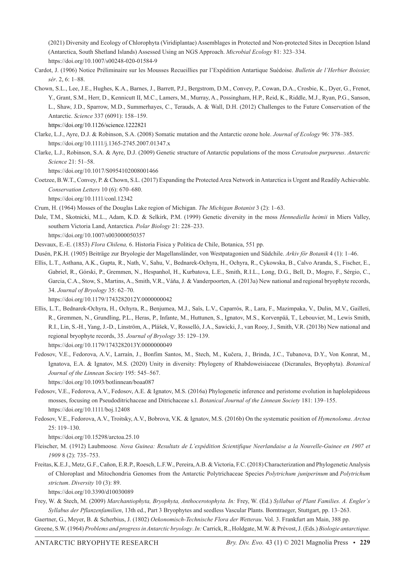(2021) Diversity and Ecology of Chlorophyta (Viridiplantae) Assemblages in Protected and Non-protected Sites in Deception Island (Antarctica, South Shetland Islands) Assessed Using an NGS Approach. *Microbial Ecology* 81: 323–334. https://doi.org/10.1007/s00248-020-01584-9

- Cardot, J. (1906) Notice Préliminaire sur les Mousses Recueillies par l'Expédition Antartique Suédoise. *Bulletin de l'Herbier Boissier, sér*. 2, 6: 1–88.
- Chown, S.L., Lee, J.E., Hughes, K.A., Barnes, J., Barrett, P.J., Bergstrom, D.M., Convey, P., Cowan, D.A., Crosbie, K., Dyer, G., Frenot, Y., Grant, S.M., Herr, D., Kennicutt II, M.C., Lamers, M., Murray, A., Possingham, H.P., Reid, K., Riddle, M.J., Ryan, P.G., Sanson, L., Shaw, J.D., Sparrow, M.D., Summerhayes, C., Terauds, A. & Wall, D.H. (2012) Challenges to the Future Conservation of the Antarctic. *Science* 337 (6091): 158–159.

https://doi.org/10.1126/science.1222821

- Clarke, L.J., Ayre, D.J. & Robinson, S.A. (2008) Somatic mutation and the Antarctic ozone hole. *Journal of Ecology* 96: 378–385. https://doi.org/10.1111/j.1365-2745.2007.01347.x
- Clarke, L.J., Robinson, S.A. & Ayre, D.J. (2009) Genetic structure of Antarctic populations of the moss *Ceratodon purpureus*. *Antarctic Science* 21: 51–58.

https://doi.org/10.1017/S0954102008001466

Coetzee, B.W.T., Convey, P. & Chown, S.L. (2017) Expanding the Protected Area Network in Antarctica is Urgent and Readily Achievable. *Conservation Letters* 10 (6): 670–680.

https://doi.org/10.1111/conl.12342

- Crum, H. (1964) Mosses of the Douglas Lake region of Michigan. *The Michigan Botanist* 3 (2): 1–63.
- Dale, T.M., Skotnicki, M.L., Adam, K.D. & Selkirk, P.M. (1999) Genetic diversity in the moss *Hennediella heimii* in Miers Valley, southern Victoria Land, Antarctica. *Polar Biology* 21: 228–233. https://doi.org/10.1007/s003000050357

Desvaux, E.-E. (1853) *Flora Chilena,* 6. Historia Fisica y Politica de Chile, Botanica, 551 pp.

- Dusén, P.K.H. (1905) Beiträge zur Bryologie der Magellansländer, von Westpatagonien und Südchile. *Arkiv för Botanik* 4 (1): 1–46.
- Ellis, L.T., Asthana, A.K., Gupta, R., Nath, V., Sahu, V., Bednarek-Ochyra, H., Ochyra, R., Cykowska, B., Calvo Aranda, S., Fischer, E., Gabriel, R., Górski, P., Gremmen, N., Hespanhol, H., Kurbatova, L.E., Smith, R.I.L., Long, D.G., Bell, D., Mogro, F., Sérgio, C., Garcia, C.A., Stow, S., Martins, A., Smith, V.R., Váňa, J. & Vanderpoorten, A. (2013a) New national and regional bryophyte records, 34. *Journal of Bryology* 35: 62–70.

https://doi.org/10.1179/1743282012Y.0000000042

- Ellis, L.T., Bednarek-Ochyra, H., Ochyra, R., Benjumea, M.J., Saïs, L.V., Caparrós, R., Lara, F., Mazimpaka, V., Dulin, M.V., Gailleti, R., Gremmen, N., Grundling, P.L., Heras, P., Infante, M., Huttunen, S., Ignatov, M.S., Korvenpää, T., Lebouvier, M., Lewis Smith, R.I., Lin, S.-H., Yang, J.-D., Linström, A., Plášek, V., Rosselló, J.A., Sawicki, J., van Rooy, J., Smith, V.R. (2013b) New national and regional bryophyte records, 35. *Journal of Bryology* 35: 129–139. https://doi.org/10.1179/1743282013Y.0000000049
- Fedosov, V.E., Fedorova, A.V., Larraín, J., Bonfim Santos, M., Stech, M., Kučera, J., Brinda, J.C., Tubanova, D.Y., Von Konrat, M., Ignatova, E.A. & Ignatov, M.S. (2020) Unity in diversity: Phylogeny of Rhabdoweisiaceae (Dicranales, Bryophyta). *Botanical Journal of the Linnean Society* 195: 545–567.

https://doi.org/10.1093/botlinnean/boaa087

- Fedosov, V.E., Fedorova, A.V., Fedosov, A.E. & Ignatov, M.S. (2016a) Phylogenetic inference and peristome evolution in haplolepideous mosses, focusing on Pseudoditrichaceae and Ditrichaceae s.l. *Botanical Journal of the Linnean Society* 181: 139–155. https://doi.org/10.1111/boj.12408
- Fedosov, V.E., Fedorova, A.V., Troitsky, A.V., Bobrova, V.K. & Ignatov, M.S. (2016b) On the systematic position of *Hymenoloma*. *Arctoa*  25: 119–130.

https://doi.org/10.15298/arctoa.25.10

- Fleischer, M. (1912) Laubmoose*. Nova Guinea: Resultats de L'expédition Scientifique Neerlandaise a la Nouvelle-Guinee en 1907 et 1909* 8 (2): 735–753.
- Freitas, K.E.J., Metz, G.F., Cañon, E.R.P., Roesch, L.F.W., Pereira, A.B. & Victoria, F.C. (2018) Characterization and Phylogenetic Analysis of Chloroplast and Mitochondria Genomes from the Antarctic Polytrichaceae Species *Polytrichum juniperinum* and *Polytrichum strictum*. *Diversity* 10 (3): 89.

https://doi.org/10.3390/d10030089

Frey, W. & Stech, M. (2009) *Marchantiophyta, Bryophyta, Anthocerotophyta. In:* Frey, W. (Ed.) *Syllabus of Plant Families. A. Engler´s Syllabus der Pflanzenfamilien*, 13th ed., Part 3 Bryophytes and seedless Vascular Plants. Borntraeger, Stuttgart, pp. 13–263. Gaertner, G., Meyer, B. & Scherbius, J. (1802) *Oekonomisch-Technische Flora der Wetterau*. Vol. 3. Frankfurt am Main, 388 pp.

Greene, S.W. (1964) *Problems and progress in Antarctic bryology*. *In:* Carrick, R., Holdgate, M.W. & Prévost, J. (Eds.) *Biologie antarctique.*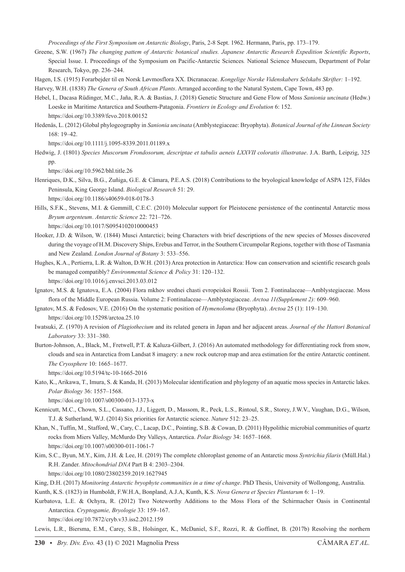*Proceedings of the First Symposium on Antarctic Biology*, Paris, 2-8 Sept. 1962. Hermann, Paris, pp. 173–179.

- Greene, S.W. (1967) *The changing pattem of Antarctic botanical studies. Japanese Antarctic Research Expedition Scientific Reports*, Special Issue. I. Proceedings of the Symposium on Pacific-Antarctic Sciences*.* National Science Musecum, Department of Polar Research, Tokyo, pp. 236–244.
- Hagen, I.S. (1915) Forarbejder til en Norsk Løvmosflora XX. Dicranaceae. *Kongelige Norske Videnskabers Selskabs Skrifter:* 1–192.

Harvey, W.H. (1838) *The Genera of South African Plants*. Arranged according to the Natural System, Cape Town, 483 pp.

- Hebel, I., Dacasa Rüdinger, M.C., Jaña, R.A. & Bastias, J. (2018) Genetic Structure and Gene Flow of Moss *Sanionia uncinata* (Hedw.) Loeske in Maritime Antarctica and Southern-Patagonia. *Frontiers in Ecology and Evolution* 6: 152. https://doi.org/10.3389/fevo.2018.00152
- Hedenäs, L. (2012) Global phylogeography in *Sanionia uncinata* (Amblystegiaceae: Bryophyta). *Botanical Journal of the Linnean Society* 168: 19–42.

https://doi.org/10.1111/j.1095-8339.2011.01189.x

Hedwig, J. (1801) *Species Muscorum Frondosorum, descriptae et tabulis aeneis LXXVII coloratis illustratae*. J.A. Barth, Leipzig, 325 pp.

https://doi.org/10.5962/bhl.title.26

- Henriques, D.K., Silva, B.G., Zuñiga, G.E. & Câmara, P.E.A.S. (2018) Contributions to the bryological knowledge of ASPA 125, Fildes Peninsula, King George Island. *Biological Research* 51: 29. https://doi.org/10.1186/s40659-018-0178-3
- Hills, S.F.K., Stevens, M.I. & Gemmill, C.E.C. (2010) Molecular support for Pleistocene persistence of the continental Antarctic moss *Bryum argenteum*. *Antarctic Science* 22: 721–726. https://doi.org/10.1017/S0954102010000453
- Hooker, J.D. & Wilson, W. (1844) Musci Antarctici; being Characters with brief descriptions of the new species of Mosses discovered during the voyage of H.M. Discovery Ships, Erebus and Terror, in the Southern Circumpolar Regions, together with those of Tasmania and New Zealand. *London Journal of Botany* 3: 533–556.
- Hughes, K.A., Pertierra, L.R. & Walton, D.W.H. (2013) Area protection in Antarctica: How can conservation and scientific research goals be managed compatibly? *Environmental Science & Policy* 31: 120–132. https://doi.org/10.1016/j.envsci.2013.03.012
- Ignatov, M.S. & Ignatova, E.A. (2004) Flora mkhov srednei chasti evropeiskoi Rossii. Tom 2. Fontinalaceae—Amblystegiaceae. Moss flora of the Middle European Russia. Volume 2: Fontinalaceae—Amblystegiaceae. *Arctoa 11(Supplement 2):* 609–960.
- Ignatov, M.S. & Fedosov, V.E. (2016) On the systematic position of *Hymenoloma* (Bryophyta). *Arctoa* 25 (1): 119–130. https://doi.org/10.15298/arctoa.25.10
- Iwatsuki, Z. (1970) A revision of *Plagiothecium* and its related genera in Japan and her adjacent areas. *Journal of the Hattori Botanical Laboratory* 33: 331–380.
- Burton-Johnson, A., Black, M., Fretwell, P.T. & Kaluza-Gilbert, J. (2016) An automated methodology for differentiating rock from snow, clouds and sea in Antarctica from Landsat 8 imagery: a new rock outcrop map and area estimation for the entire Antarctic continent. *The Cryosphere* 10: 1665–1677.

https://doi.org/10.5194/tc-10-1665-2016

Kato, K., Arikawa, T., Imura, S. & Kanda, H. (2013) Molecular identification and phylogeny of an aquatic moss species in Antarctic lakes. *Polar Biology* 36: 1557–1568.

https://doi.org/10.1007/s00300-013-1373-x

- Kennicutt, M.C., Chown, S.L., Cassano, J.J., Liggett, D., Massom, R., Peck, L.S., Rintoul, S.R., Storey, J.W.V., Vaughan, D.G., Wilson, T.J. & Sutherland, W.J. (2014) Six priorities for Antarctic science. *Nature* 512: 23–25.
- Khan, N., Tuffin, M., Stafford, W., Cary, C., Lacap, D.C., Pointing, S.B. & Cowan, D. (2011) Hypolithic microbial communities of quartz rocks from Miers Valley, McMurdo Dry Valleys, Antarctica. *Polar Biology* 34: 1657–1668. https://doi.org/10.1007/s00300-011-1061-7
- Kim, S.C., Byun, M.Y., Kim, J.H. & Lee, H. (2019) The complete chloroplast genome of an Antarctic moss *Syntrichia filaris* (Müll.Hal.) R.H. Zander. *Mitochondrial DNA* Part B 4: 2303–2304.

https://doi.org/10.1080/23802359.2019.1627945

King, D.H. (2017) *Monitoring Antarctic bryophyte communities in a time of change*. PhD Thesis, University of Wollongong, Australia.

Kunth, K.S. (1823) in Humboldt, F.W.H.A, Bonpland, A.J.A, Kunth, K.S. *Nova Genera et Species Plantarum* 6: 1–19.

Kurbatova, L.E. & Ochyra, R. (2012) Two Noteworthy Additions to the Moss Flora of the Schirmacher Oasis in Continental Antarctica. *Cryptogamie, Bryologie* 33: 159–167.

https://doi.org/10.7872/cryb.v33.iss2.2012.159

Lewis, L.R., Biersma, E.M., Carey, S.B., Holsinger, K., McDaniel, S.F., Rozzi, R. & Goffinet, B. (2017b) Resolving the northern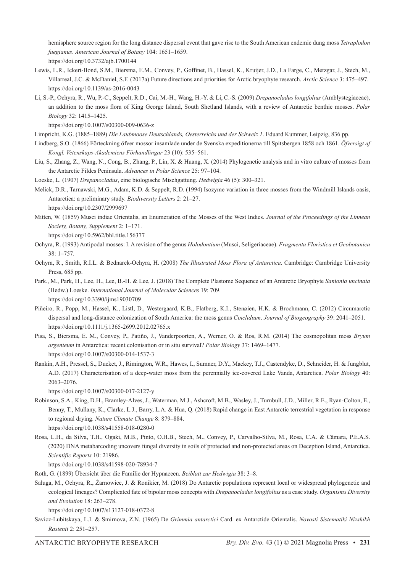hemisphere source region for the long distance dispersal event that gave rise to the South American endemic dung moss *Tetraplodon fuegianus*. *American Journal of Botany* 104: 1651–1659.

https://doi.org/10.3732/ajb.1700144

- Lewis, L.R., Ickert-Bond, S.M., Biersma, E.M., Convey, P., Goffinet, B., Hassel, K., Kruijer, J.D., La Farge, C., Metzgar, J., Stech, M., Villarreal, J.C. & McDaniel, S.F. (2017a) Future directions and priorities for Arctic bryophyte research. *Arctic Science* 3: 475–497. https://doi.org/10.1139/as-2016-0043
- Li, S.-P., Ochyra, R., Wu, P.-C., Seppelt, R.D., Cai, M.-H., Wang, H.-Y. & Li, C.-S. (2009) *Drepanocladus longifolius* (Amblystegiaceae), an addition to the moss flora of King George Island, South Shetland Islands, with a review of Antarctic benthic mosses. *Polar Biology* 32: 1415–1425.

https://doi.org/10.1007/s00300-009-0636-z

Limpricht, K.G. (1885–1889) *Die Laubmoose Deutschlands, Oesterreichs und der Schweiz 1*. Eduard Kummer, Leipzig, 836 pp.

- Lindberg, S.O. (1866) Förteckning öfver mossor insamlade under de Svenska expeditionerna till Spitsbergen 1858 och 1861. *Öfversigt af Kongl. Vetenskaps-Akademiens Förhandlingar* 23 (10): 535–561.
- Liu, S., Zhang, Z., Wang, N., Cong, B., Zhang, P., Lin, X. & Huang, X. (2014) Phylogenetic analysis and in vitro culture of mosses from the Antarctic Fildes Peninsula. *Advances in Polar Science* 25: 97–104.
- Loeske, L. (1907) *Drepanocladus*, eine biologische Mischgattung. *Hedwigia* 46 (5): 300–321.
- Melick, D.R., Tarnawski, M.G., Adam, K.D. & Seppelt, R.D. (1994) Isozyme variation in three mosses from the Windmill Islands oasis, Antarctica: a preliminary study. *Biodiversity Letters* 2: 21–27. https://doi.org/10.2307/2999697
- Mitten, W. (1859) Musci indiae Orientalis, an Enumeration of the Mosses of the West Indies. *Journal of the Proceedings of the Linnean Society, Botany, Supplement* 2: 1–171.

https://doi.org/10.5962/bhl.title.156377

- Ochyra, R. (1993) Antipodal mosses: I. A revision of the genus *Holodontium* (Musci, Seligeriaceae). *Fragmenta Floristica et Geobotanica* 38: 1–757.
- Ochyra, R., Smith, R.I.L. & Bednarek-Ochyra, H. (2008) *The Illustrated Moss Flora of Antarctica*. Cambridge: Cambridge University Press, 685 pp.
- Park., M., Park, H., Lee, H., Lee, B.-H. & Lee, J. (2018) The Complete Plastome Sequence of an Antarctic Bryophyte *Sanionia uncinata* (Hedw.) Loeske. *International Journal of Molecular Sciences* 19: 709. https://doi.org/10.3390/ijms19030709
- Piñeiro, R., Popp, M., Hassel, K., Listl, D., Westergaard, K.B., Flatberg, K.I., Stenøien, H.K. & Brochmann, C. (2012) Circumarctic dispersal and long-distance colonization of South America: the moss genus *Cinclidium*. *Journal of Biogeography* 39: 2041–2051. https://doi.org/10.1111/j.1365-2699.2012.02765.x

Pisa, S., Biersma, E. M., Convey, P., Patiño, J., Vanderpoorten, A., Werner, O. & Ros, R.M. (2014) The cosmopolitan moss *Bryum argenteum* in Antarctica: recent colonisation or in situ survival? *Polar Biology* 37: 1469–1477. https://doi.org/10.1007/s00300-014-1537-3

Rankin, A.H., Pressel, S., Ducket, J., Rimington, W.R., Hawes, I., Sumner, D.Y., Mackey, T.J., Castendyke, D., Schneider, H. & Jungblut, A.D. (2017) Characterisation of a deep-water moss from the perennially ice-covered Lake Vanda, Antarctica. *Polar Biology* 40: 2063–2076.

https://doi.org/10.1007/s00300-017-2127-y

- Robinson, S.A., King, D.H., Bramley-Alves, J., Waterman, M.J., Ashcroft, M.B., Wasley, J., Turnbull, J.D., Miller, R.E., Ryan-Colton, E., Benny, T., Mullany, K., Clarke, L.J., Barry, L.A. & Hua, Q. (2018) Rapid change in East Antarctic terrestrial vegetation in response to regional drying. *Nature Climate Change* 8: 879–884.
- https://doi.org/10.1038/s41558-018-0280-0
- Rosa, L.H., da Silva, T.H., Ogaki, M.B., Pinto, O.H.B., Stech, M., Convey, P., Carvalho-Silva, M., Rosa, C.A. & Câmara, P.E.A.S. (2020) DNA metabarcoding uncovers fungal diversity in soils of protected and non-protected areas on Deception Island, Antarctica. *Scientific Reports* 10: 21986.

https://doi.org/10.1038/s41598-020-78934-7

Roth, G. (1899) Übersicht über die Familie der Hypnaceen. *Beiblatt zur Hedwigia* 38: 3–8.

Saługa, M., Ochyra, R., Żarnowiec, J. & Ronikier, M. (2018) Do Antarctic populations represent local or widespread phylogenetic and ecological lineages? Complicated fate of bipolar moss concepts with *Drepanocladus longifolius* as a case study. *Organisms Diversity and Evolution* 18: 263–278.

https://doi.org/10.1007/s13127-018-0372-8

Savicz-Lubitskaya, L.I. & Smirnova, Z.N. (1965) De *Grimmia antarctici* Card. ex Antarctide Orientalis. *Novosti Sistematiki Nizshikh Rastenii* 2: 251–257.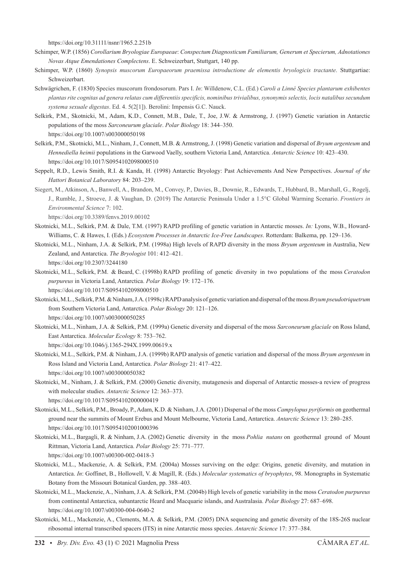https://doi.org/10.31111/nsnr/1965.2.251b

- Schimper, W.P. (1856) *Corollarium Bryologiae Europaeae*: *Conspectum Diagnosticum Familiarum, Generum et Specierum, Adnotationes Novas Atque Emendationes Complectens*. E. Schweizerbart, Stuttgart, 140 pp.
- Schimper, W.P. (1860) *Synopsis muscorum Europaeorum praemissa introductione de elementis bryologicis tractante*. Stuttgartiae: Schweizerbart.
- Schwägrichen, F. (1830) Species muscorum frondosorum. Pars I. *In*: Willdenow, C.L. (Ed.) *Caroli a Linné Species plantarum exhibentes plantas rite cognitas ad genera relatas cum differentiis specificis, nominibus trivialibus, synonymis selectis, locis natalibus secundum systema sexuale digestas*. Ed. 4. 5(2[1]). Berolini: Impensis G.C. Nauck.
- Selkirk, P.M., Skotnicki, M., Adam, K.D., Connett, M.B., Dale, T., Joe, J.W. & Armstrong, J. (1997) Genetic variation in Antarctic populations of the moss *Sarconeurum glaciale*. *Polar Biology* 18: 344–350. https://doi.org/10.1007/s003000050198
- Selkirk, P.M., Skotnicki, M.L., Ninham, J., Connett, M.B. & Armstrong, J. (1998) Genetic variation and dispersal of *Bryum argenteum* and *Hennediella heimii* populations in the Garwood Vaelly, southern Victoria Land, Antarctica. *Antarctic Science* 10: 423–430. https://doi.org/10.1017/S0954102098000510
- Seppelt, R.D., Lewis Smith, R.I. & Kanda, H. (1998) Antarctic Bryology: Past Achievements And New Perspectives. *Journal of the Hattori Botanical Laboratory* 84: 203–239.
- Siegert, M., Atkinson, A., Banwell, A., Brandon, M., Convey, P., Davies, B., Downie, R., Edwards, T., Hubbard, B., Marshall, G., Rogelj, J., Rumble, J., Stroeve, J. & Vaughan, D. (2019) The Antarctic Peninsula Under a 1.5°C Global Warming Scenario. *Frontiers in Environmental Science* 7: 102.

https://doi.org/10.3389/fenvs.2019.00102

- Skotnicki, M.L., Selkirk, P.M. & Dale, T.M. (1997) RAPD profiling of genetic variation in Antarctic mosses. *In:* Lyons, W.B., Howard-Williams, C. & Hawes, I. (Eds.) *Ecosystem Processes in Antarctic Ice-Free Landscapes*. Rotterdam: Balkema, pp. 129–136.
- Skotnicki, M.L., Ninham, J.A. & Selkirk, P.M. (1998a) High levels of RAPD diversity in the moss *Bryum argenteum* in Australia, New Zealand, and Antarctica. *The Bryologist* 101: 412–421. https://doi.org/10.2307/3244180
- Skotnicki, M.L., Selkirk, P.M. & Beard, C. (1998b) RAPD profiling of genetic diversity in two populations of the moss *Ceratodon purpureus* in Victoria Land, Antarctica. *Polar Biology* 19: 172–176. https://doi.org/10.1017/S0954102098000510
- Skotnicki, M.L., Selkirk, P.M. & Ninham, J.A. (1998c) RAPD analysis of genetic variation and dispersal of the moss *Bryum pseudotriquetrum* from Southern Victoria Land, Antarctica. *Polar Biology* 20: 121–126. https://doi.org/10.1007/s003000050285
- Skotnicki, M.L., Ninham, J.A. & Selkirk, P.M. (1999a) Genetic diversity and dispersal of the moss *Sarconeurum glaciale* on Ross Island, East Antarctica. *Molecular Ecology* 8: 753–762.

https://doi.org/10.1046/j.1365-294X.1999.00619.x

- Skotnicki, M.L., Selkirk, P.M. & Ninham, J.A. (1999b) RAPD analysis of genetic variation and dispersal of the moss *Bryum argenteum* in Ross Island and Victoria Land, Antarctica. *Polar Biology* 21: 417–422. https://doi.org/10.1007/s003000050382
- Skotnicki, M., Ninham, J. & Selkirk, P.M. (2000) Genetic diversity, mutagenesis and dispersal of Antarctic mosses-a review of progress with molecular studies. *Antarctic Science* 12: 363–373. https://doi.org/10.1017/S0954102000000419
- Skotnicki, M.L., Selkirk, P.M., Broady, P., Adam, K.D. & Ninham, J.A. (2001) Dispersal of the moss *Campylopus pyriformis* on geothermal ground near the summits of Mount Erebus and Mount Melbourne, Victoria Land, Antarctica. *Antarctic Science* 13: 280–285. https://doi.org/10.1017/S0954102001000396
- Skotnicki, M.L., Bargagli, R. & Ninham, J.A. (2002) Genetic diversity in the moss *Pohlia nutans* on geothermal ground of Mount Rittman, Victoria Land, Antarctica. *Polar Biology* 25: 771–777. https://doi.org/10.1007/s00300-002-0418-3
- Skotnicki, M.L., Mackenzie, A. & Selkirk, P.M. (2004a) Mosses surviving on the edge: Origins, genetic diversity, and mutation in Antarctica. *In*: Goffinet, B., Hollowell, V. & Magill, R. (Eds.) *Molecular systematics of bryophytes*, 98. Monographs in Systematic Botany from the Missouri Botanical Garden, pp. 388–403.
- Skotnicki, M.L., Mackenzie, A., Ninham, J.A. & Selkirk, P.M. (2004b) High levels of genetic variability in the moss *Ceratodon purpureus* from continental Antarctica, subantarctic Heard and Macquarie islands, and Australasia. *Polar Biology* 27: 687–698. https://doi.org/10.1007/s00300-004-0640-2
- Skotnicki, M.L., Mackenzie, A., Clements, M.A. & Selkirk, P.M. (2005) DNA sequencing and genetic diversity of the 18S-26S nuclear ribosomal internal transcribed spacers (ITS) in nine Antarctic moss species. *Antarctic Science* 17: 377–384.